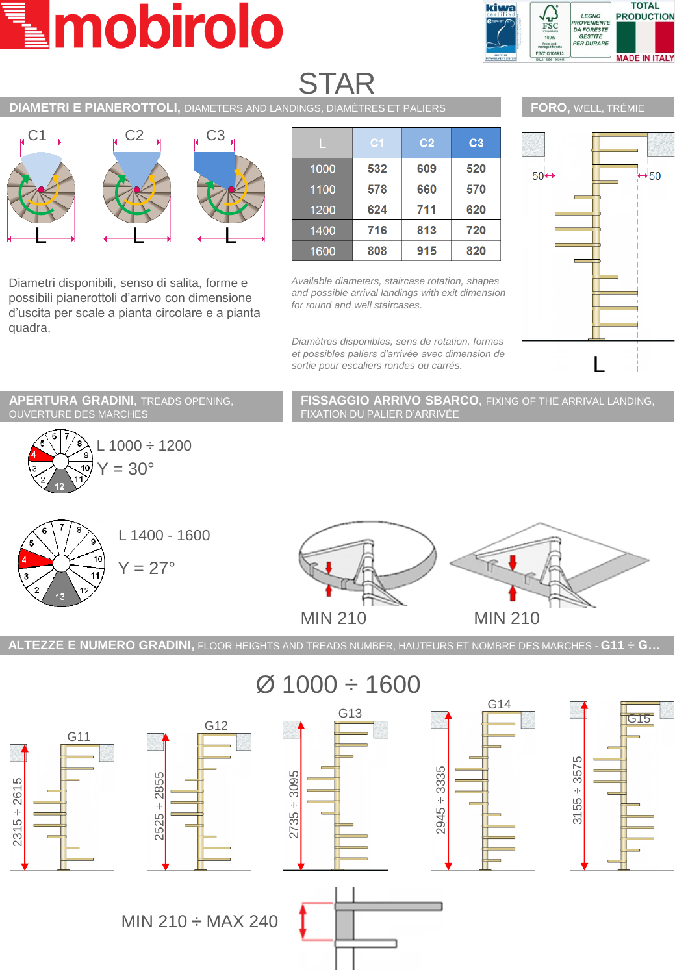# mobirolo



# STAR

## **DIAMETRI E PIANEROTTOLI,** DIAMETERS AND LANDINGS, DIAMÈTRES ET PALIERS



Diametri disponibili, senso di salita, forme e possibili pianerottoli d'arrivo con dimensione d'uscita per scale a pianta circolare e a pianta quadra.

|      | C <sub>1</sub> | C <sub>2</sub> | C <sub>3</sub> |
|------|----------------|----------------|----------------|
| 1000 | 532            | 609            | 520            |
| 1100 | 578            | 660            | 570            |
| 1200 | 624            | 711            | 620            |
| 1400 | 716            | 813            | 720            |
| 1600 | 808            | 915            | 820            |

*Available diameters, staircase rotation, shapes and possible arrival landings with exit dimension for round and well staircases.*

*Diamètres disponibles, sens de rotation, formes et possibles paliers d'arrivée avec dimension de sortie pour escaliers rondes ou carrés.*



**APERTURA GRADINI,** TREADS OPENING, OUVERTURE DES MARCHES



**FISSAGGIO ARRIVO SBARCO,** FIXING OF THE ARRIVAL LANDING, FIXATION DU PALIER D'ARRIVÉE





**ALTEZZE E NUMERO GRADINI,** FLOOR HEIGHTS AND TREADS NUMBER, HAUTEURS ET NOMBRE DES MARCHES - **G11 ÷ G…**

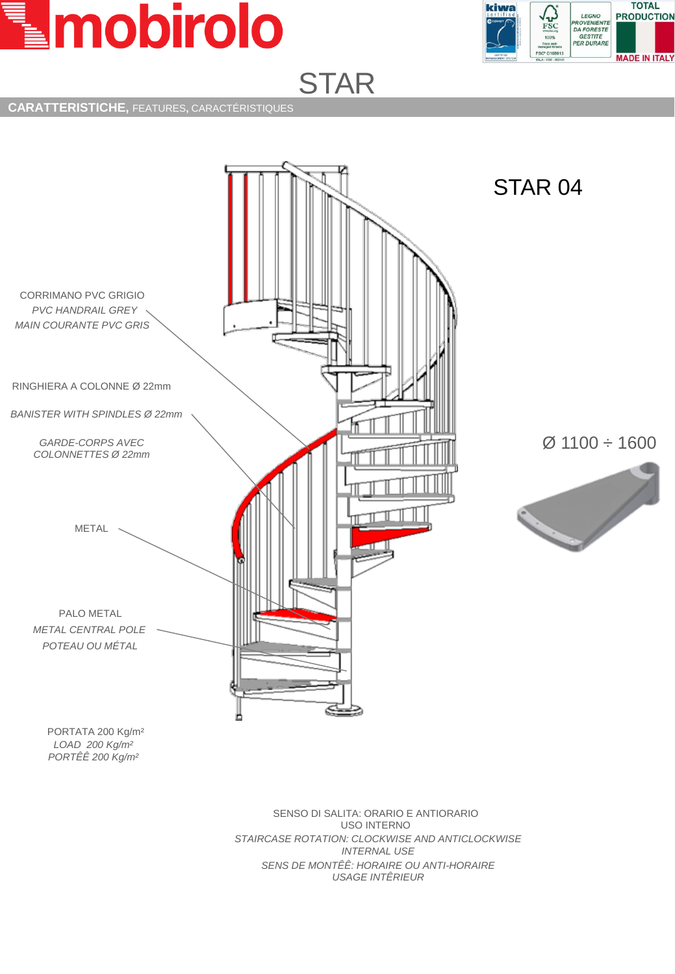



#### **CARATTERISTICHE,** FEATURES**,** CARACTÉRISTIQUES



 $\varnothing$  1100 ÷ 1600



*LOAD 200 Kg/m² PORTÊÊ 200 Kg/m²*

> SENSO DI SALITA: ORARIO E ANTIORARIO USO INTERNO *STAIRCASE ROTATION: CLOCKWISE AND ANTICLOCKWISE INTERNAL USE SENS DE MONTÊÊ: HORAIRE OU ANTI-HORAIRE USAGE INTÊRIEUR*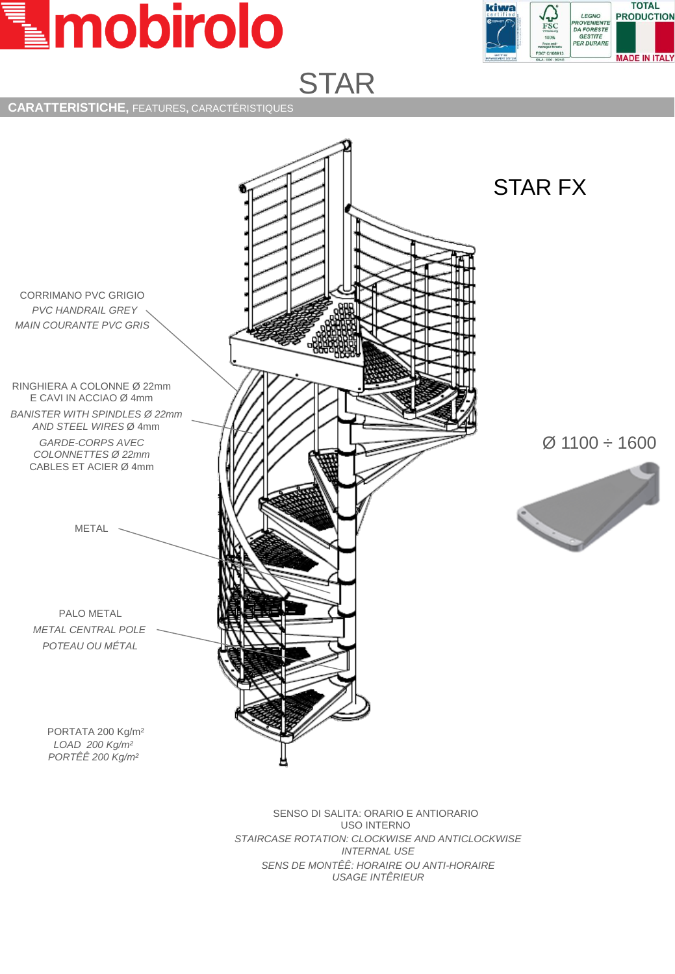



### **CARATTERISTICHE,** FEATURES**,** CARACTÉRISTIQUES



SENSO DI SALITA: ORARIO E ANTIORARIO USO INTERNO *STAIRCASE ROTATION: CLOCKWISE AND ANTICLOCKWISE INTERNAL USE SENS DE MONTÊÊ: HORAIRE OU ANTI-HORAIRE USAGE INTÊRIEUR*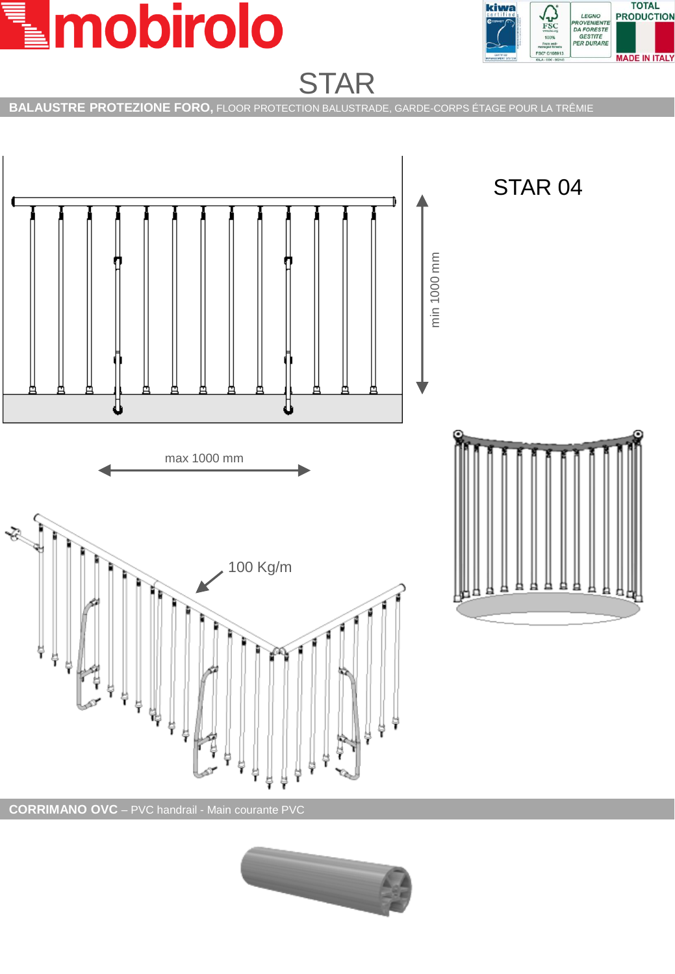



**BALAUSTRE PROTEZIONE FORO,** FLOOR PROTECTION BALUSTRADE, GARDE-CORPS ÉTAGE POUR LA TRÊMIE